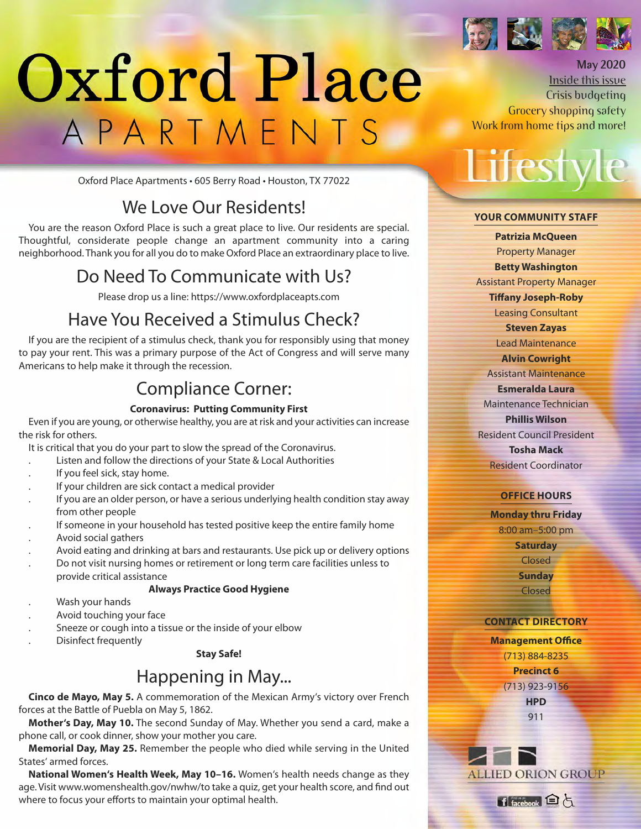

**May 2020** Inside this issue Crisis budgeting

# Oxford Place APARTMENTS

Oxford Place Apartments • 605 Berry Road • Houston, TX 77022

## We Love Our Residents!

You are the reason Oxford Place is such a great place to live. Our residents are special. Thoughtful, considerate people change an apartment community into a caring neighborhood. Thank you for all you do to make Oxford Place an extraordinary place to live.

## Do Need To Communicate with Us?

Please drop us a line: https://www.oxfordplaceapts.com

## Have You Received a Stimulus Check?

If you are the recipient of a stimulus check, thank you for responsibly using that money to pay your rent. This was a primary purpose of the Act of Congress and will serve many Americans to help make it through the recession.

## Compliance Corner:

#### **Coronavirus: Putting Community First**

Even if you are young, or otherwise healthy, you are at risk and your activities can increase the risk for others.

It is critical that you do your part to slow the spread of the Coronavirus.

- . Listen and follow the directions of your State & Local Authorities
- If you feel sick, stay home.
- If your children are sick contact a medical provider
- If you are an older person, or have a serious underlying health condition stay away from other people
- If someone in your household has tested positive keep the entire family home
- . Avoid social gathers
- . Avoid eating and drinking at bars and restaurants. Use pick up or delivery options
- . Do not visit nursing homes or retirement or long term care facilities unless to provide critical assistance

#### **Always Practice Good Hygiene**

- . Wash your hands
- . Avoid touching your face
- . Sneeze or cough into a tissue or the inside of your elbow
- . Disinfect frequently

#### **Stay Safe!**

## Happening in May...

**Cinco de Mayo, May 5.** A commemoration of the Mexican Army's victory over French forces at the Battle of Puebla on May 5, 1862.

**Mother's Day, May 10.** The second Sunday of May. Whether you send a card, make a phone call, or cook dinner, show your mother you care.

**Memorial Day, May 25.** Remember the people who died while serving in the United States' armed forces.

**National Women's Health Week, May 10–16.** Women's health needs change as they age. Visit www.womenshealth.gov/nwhw/to take a quiz, get your health score, and find out where to focus your efforts to maintain your optimal health.

Work from home tips and more! Lifesty

Grocery shopping safety

#### **Your CommunitY Staff**

**Patrizia mcQueen** Property Manager **Betty Washington**  Assistant Property Manager **Tiffany Joseph-Roby** Leasing Consultant **Steven Zayas** Lead Maintenance **alvin Cowright** Assistant Maintenance **Esmeralda Laura**  Maintenance Technician **Phillis Wilson** Resident Council President **tosha mack** Resident Coordinator

#### **offiCE HourS**

**monday thru friday** 8:00 am–5:00 pm **Saturday** Closed **Sunday** Closed

#### **ContaCt DirECtorY**

**management office** (713) 884-8235 **Precinct 6**  (713) 923-9156 **HPD** 911



Hacebook 白占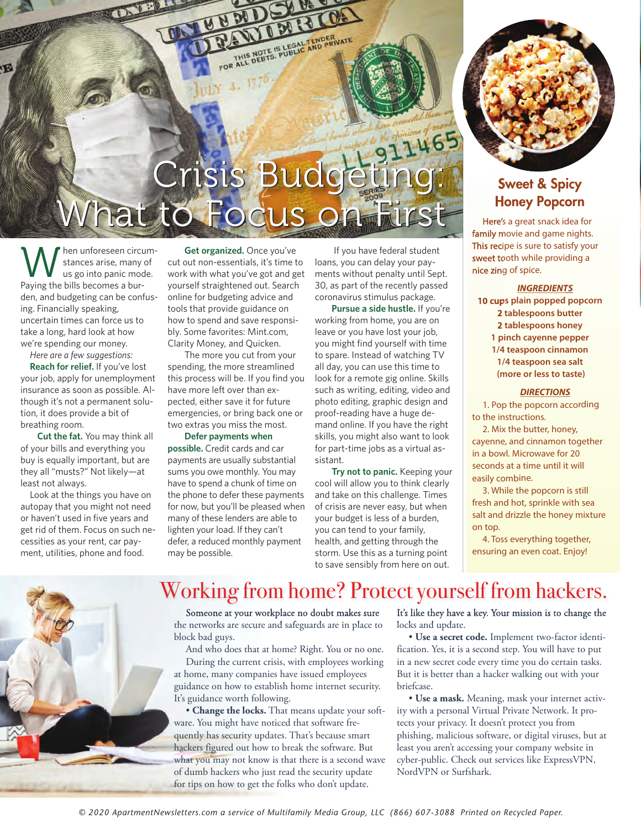## Crisis Budgeting: Crisis Budgeting: What to Focus on First What to Focus on First

 $4.1776$ 

WENR

FOR ALLE DEBTS. SLIEDLE AND PRIVATE

hen unforeseen circumstances arise, many of us go into panic mode. Paying the bills becomes a burden, and budgeting can be confusing. Financially speaking, uncertain times can force us to take a long, hard look at how we're spending our money.

*Here are a few suggestions:* 

**Reach for relief.** If you've lost your job, apply for unemployment insurance as soon as possible. Although it's not a permanent solution, it does provide a bit of breathing room.

**Cut the fat.** You may think all of your bills and everything you buy is equally important, but are they all "musts?" Not likely—at least not always.

Look at the things you have on autopay that you might not need or haven't used in five years and get rid of them. Focus on such necessities as your rent, car payment, utilities, phone and food.

**Get organized.** Once you've cut out non-essentials, it's time to work with what you've got and get yourself straightened out. Search online for budgeting advice and tools that provide guidance on how to spend and save responsibly. Some favorites: Mint.com, Clarity Money, and Quicken.

UNIU U

**ITIN** 

The more you cut from your spending, the more streamlined this process will be. If you find you have more left over than expected, either save it for future emergencies, or bring back one or two extras you miss the most.

**Defer payments when possible.** Credit cards and car payments are usually substantial sums you owe monthly. You may have to spend a chunk of time on the phone to defer these payments for now, but you'll be pleased when many of these lenders are able to lighten your load. If they can't defer, a reduced monthly payment may be possible.

If you have federal student loans, you can delay your payments without penalty until Sept. 30, as part of the recently passed coronavirus stimulus package.

**Pursue a side hustle.** If you're working from home, you are on leave or you have lost your job, you might find yourself with time to spare. Instead of watching TV all day, you can use this time to look for a remote gig online. Skills such as writing, editing, video and photo editing, graphic design and proof-reading have a huge demand online. If you have the right skills, you might also want to look for part-time jobs as a virtual assistant.

**Try not to panic.** Keeping your cool will allow you to think clearly and take on this challenge. Times of crisis are never easy, but when your budget is less of a burden, you can tend to your family, health, and getting through the storm. Use this as a turning point to save sensibly from here on out.



### **Sweet & Spicy Honey Popcorn**

Here's a great snack idea for family movie and game nights. This recipe is sure to satisfy your sweet tooth while providing a nice zing of spice.

#### **INGREDIENTS**

**10 cups plain popped popcorn 2 tablespoons butter 2 tablespoons honey 1 pinch cayenne pepper**

**1/4 teaspoon cinnamon 1/4 teaspoon sea salt (more or less to taste)**

#### **DIRECTIONS**

1. Pop the popcorn according to the instructions.

2. Mix the butter, honey, cayenne, and cinnamon together in a bowl. Microwave for 20 seconds at a time until it will easily combine.

3. While the popcorn is still fresh and hot, sprinkle with sea salt and drizzle the honey mixture on top.

4. Toss everything together, ensuring an even coat. Enjoy!



## Working from home? Protect yourself from hackers.

Someone at your workplace no doubt makes sure the networks are secure and safeguards are in place to block bad guys.

And who does that at home? Right. You or no one. During the current crisis, with employees working at home, many companies have issued employees guidance on how to establish home internet security. It's guidance worth following.

• **Change the locks.** That means update your software. You might have noticed that software frequently has security updates. That's because smart hackers figured out how to break the software. But what you may not know is that there is a second wave of dumb hackers who just read the security update for tips on how to get the folks who don't update.

It's like they have a key. Your mission is to change the locks and update.

• **Use a secret code.** Implement two-factor identification. Yes, it is a second step. You will have to put in a new secret code every time you do certain tasks. But it is better than a hacker walking out with your briefcase.

• **Use a mask.** Meaning, mask your internet activity with a personal Virtual Private Network. It protects your privacy. It doesn't protect you from phishing, malicious software, or digital viruses, but at least you aren't accessing your company website in cyber-public. Check out services like ExpressVPN, NordVPN or Surfshark.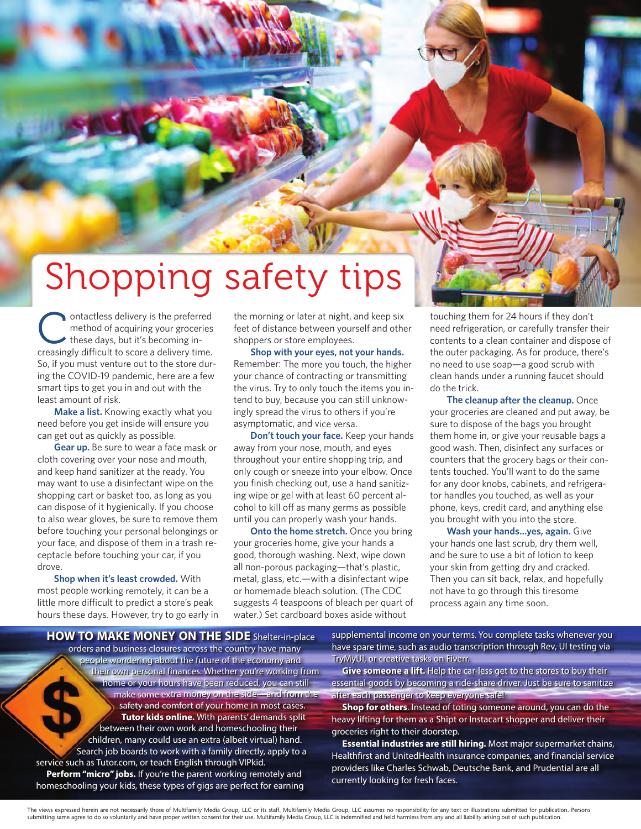## Shopping safety tips

ontactless delivery is the preferred<br>method of acquiring your groceries<br>these days, but it's becoming inmethod of acquiring your groceries these days, but it's becoming increasingly difficult to score a delivery time. So, if you must venture out to the store during the COVID-19 pandemic, here are a few smart tips to get you in and out with the least amount of risk.

**Make a list.** Knowing exactly what you need before you get inside will ensure you can get out as quickly as possible.

**Gear up.** Be sure to wear a face mask or cloth covering over your nose and mouth, and keep hand sanitizer at the ready. You may want to use a disinfectant wipe on the shopping cart or basket too, as long as you can dispose of it hygienically. If you choose to also wear gloves, be sure to remove them before touching your personal belongings or your face, and dispose of them in a trash receptacle before touching your car, if you drove.

**Shop when it's least crowded.** With most people working remotely, it can be <sup>a</sup> little more difficult to predict a store's peak hours these days. However, try to go early in the morning or later at night, and keep six feet of distance between yourself and other shoppers or store employees.

**Shop with your eyes, not your hands.** Remember: The more you touch, the higher your chance of contracting or transmitting the virus. Try to only touch the items you intend to buy, because you can still unknowingly spread the virus to others if you're asymptomatic, and vice versa.

**Don't touch your face.** Keep your hands away from your nose, mouth, and eyes throughout your entire shopping trip, and only cough or sneeze into your elbow. Once you finish checking out, use a hand sanitizing wipe or gel with at least 60 percent alcohol to kill off as many germs as possible until you can properly wash your hands.

**Onto the home stretch.** Once you bring your groceries home, give your hands a good, thorough washing. Next, wipe down all non-porous packaging—that's plastic, metal, glass, etc.—with a disinfectant wipe or homemade bleach solution. (The CDC suggests 4 teaspoons of bleach per quart of water.) Set cardboard boxes aside without

touching them for 24 hours if they don't need refrigeration, or carefully transfer their contents to a clean container and dispose of the outer packaging. As for produce, there's no need to use soap—a good scrub with clean hands under a running faucet should do the trick.

**The cleanup after the cleanup.** Once your groceries are cleaned and put away, be sure to dispose of the bags you brought them home in, or give your reusable bags a good wash. Then, disinfect any surfaces or counters that the grocery bags or their contents touched. You'll want to do the same for any door knobs, cabinets, and refrigerator handles you touched, as well as your phone, keys, credit card, and anything else you brought with you into the store.

**Wash your hands…yes, again.** Give your hands one last scrub, dry them well, and be sure to use a bit of lotion to keep your skin from getting dry and cracked. Then you can sit back, relax, and hopefully not have to go through this tiresome process again any time soon.

**HOW TO MAKE MONEY ON THE SIDE** Shelter-in-place **HOW TO MAKE MONEY ON THE SIDE** Shelter-in-place orders and business closures across the country have many orders and business closures across the country have many<br>people wondering about the future of the economy and their own personal finances. Whether you're working from their own personal finances. Whether you're working from home or your hours have been reduced, you can still home or your hours have been reduced, you can still make some extra money on the side—and from the make some extra money on the side—and from the safety and comfort of your home in most cases. safety and comfort of your home in most cases. **Tutor kids online.** With parents' demands split **Tutor kids online.** With parents' demands split between their own work and homeschooling their between their own work and homeschooling their children, many could use an extra (albeit virtual) hand. children, many could use an extra (albeit virtual) hand. Search job boards to work with a family directly, apply to a Search job boards to work with a family directly, apply to a<br>service such as Tutor.com, or teach English through VIPkid. **Perform "micro" jobs.** If you're the parent working remotely and **Perform "micro" jobs.** If you're the parent working remotely and homeschooling your kids, these types of gigs are perfect for earning homeschooling your kids, these types of gigs are perfect for earning

supplemental income on your terms. You complete tasks whenever you supplemental income on your terms. You complete tasks whenever you have spare time, such as audio transcription through Rev, UI testing via have spare time, such as audio transcription through Rev, UI testing via TryMyUI, or creative tasks on Fiverr. TryMyUI, or creative tasks on Fiverr.

**Give someone a lift.** Help the car-less get to the stores to buy their **Give someone a lift.** Help the car-less get to the stores to buy their essential goods by becoming a ride-share driver. Just be sure to sanitize essential goods by becoming a ride-share driver. Just be sure to sanitize after each passenger to keep everyone safe! after each passenger to keep everyone safe!

**Shop for others**. Instead of toting someone around, you can do the **Shop for others**. Instead of toting someone around, you can do the heavy lifting for them as a Shipt or Instacart shopper and deliver their heavy lifting for them as a Shipt or Instacart shopper and deliver their groceries right to their doorstep. groceries right to their doorstep.

**Essential industries are still hiring.** Most major supermarket chains, **Essential industries are still hiring.** Most major supermarket chains, Healthfirst and UnitedHealth insurance companies, and financial service Healthfirst and UnitedHealth insurance companies, and financial service providers like Charles Schwab, Deutsche Bank, and Prudential are all providers like Charles Schwab, Deutsche Bank, and Prudential are all currently looking for fresh faces. currently looking for fresh faces.